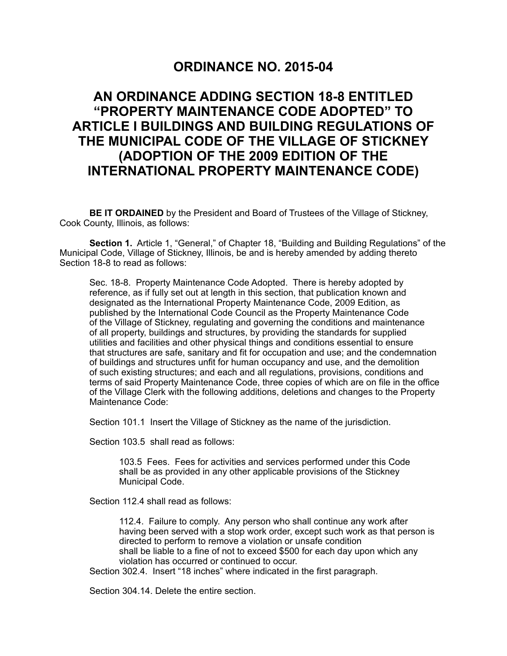## **ORDINANCE NO. 2015-04**

## **AN ORDINANCE ADDING SECTION 18-8 ENTITLED "PROPERTY MAINTENANCE CODE ADOPTED" TO ARTICLE I BUILDINGS AND BUILDING REGULATIONS OF THE MUNICIPAL CODE OF THE VILLAGE OF STICKNEY (ADOPTION OF THE 2009 EDITION OF THE INTERNATIONAL PROPERTY MAINTENANCE CODE)**

**BE IT ORDAINED** by the President and Board of Trustees of the Village of Stickney, Cook County, Illinois, as follows:

**Section 1.** Article 1, "General," of Chapter 18, "Building and Building Regulations" of the Municipal Code, Village of Stickney, Illinois, be and is hereby amended by adding thereto Section 18-8 to read as follows:

 Sec. 18-8. Property Maintenance Code Adopted. There is hereby adopted by reference, as if fully set out at length in this section, that publication known and designated as the International Property Maintenance Code, 2009 Edition, as published by the International Code Council as the Property Maintenance Code of the Village of Stickney, regulating and governing the conditions and maintenance of all property, buildings and structures, by providing the standards for supplied utilities and facilities and other physical things and conditions essential to ensure that structures are safe, sanitary and fit for occupation and use; and the condemnation of buildings and structures unfit for human occupancy and use, and the demolition of such existing structures; and each and all regulations, provisions, conditions and terms of said Property Maintenance Code, three copies of which are on file in the office of the Village Clerk with the following additions, deletions and changes to the Property Maintenance Code:

Section 101.1 Insert the Village of Stickney as the name of the jurisdiction.

Section 103.5 shall read as follows:

 103.5 Fees. Fees for activities and services performed under this Code shall be as provided in any other applicable provisions of the Stickney Municipal Code.

Section 112.4 shall read as follows:

 112.4. Failure to comply. Any person who shall continue any work after having been served with a stop work order, except such work as that person is directed to perform to remove a violation or unsafe condition shall be liable to a fine of not to exceed \$500 for each day upon which any violation has occurred or continued to occur.

Section 302.4. Insert "18 inches" where indicated in the first paragraph.

Section 304.14. Delete the entire section.